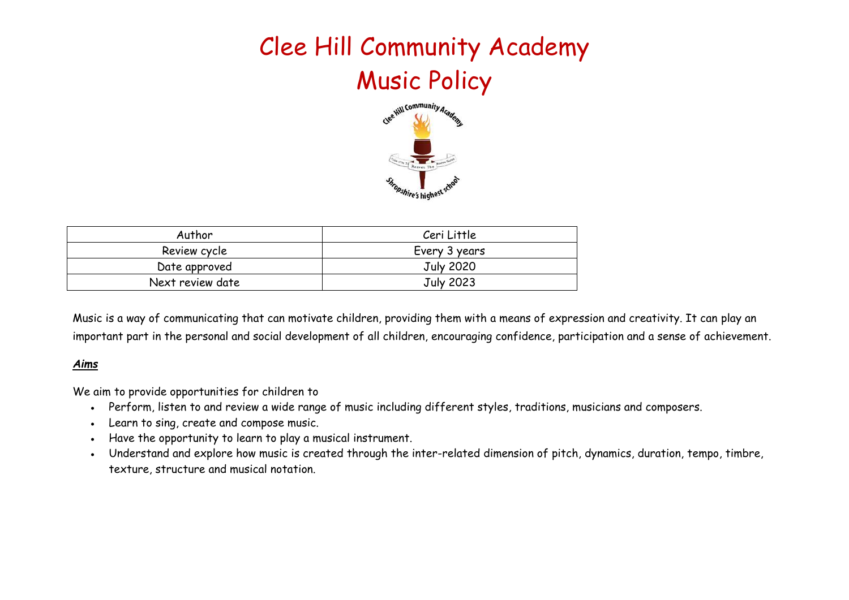# Clee Hill Community Academy Music Policy



| Author           | Ceri Little      |  |
|------------------|------------------|--|
| Review cycle     | Every 3 years    |  |
| Date approved    | <b>July 2020</b> |  |
| Next review date | July 2023        |  |

Music is a way of communicating that can motivate children, providing them with a means of expression and creativity. It can play an important part in the personal and social development of all children, encouraging confidence, participation and a sense of achievement.

#### *Aims*

We aim to provide opportunities for children to

- Perform, listen to and review a wide range of music including different styles, traditions, musicians and composers.
- Learn to sing, create and compose music.
- Have the opportunity to learn to play a musical instrument.
- Understand and explore how music is created through the inter-related dimension of pitch, dynamics, duration, tempo, timbre, texture, structure and musical notation.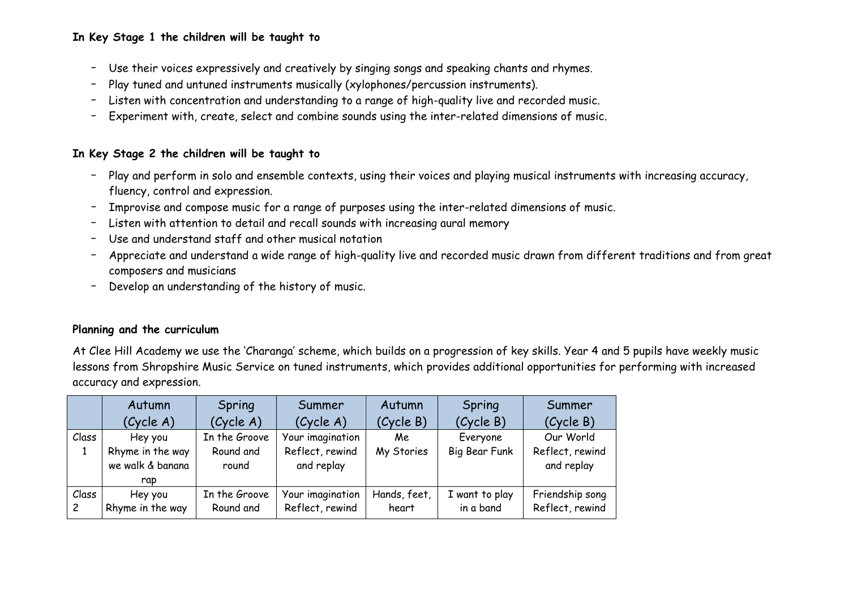### **In Key Stage 1 the children will be taught to**

- Use their voices expressively and creatively by singing songs and speaking chants and rhymes.
- Play tuned and untuned instruments musically (xylophones/percussion instruments).
- Listen with concentration and understanding to a range of high-quality live and recorded music.
- Experiment with, create, select and combine sounds using the inter-related dimensions of music.

#### **In Key Stage 2 the children will be taught to**

- Play and perform in solo and ensemble contexts, using their voices and playing musical instruments with increasing accuracy, fluency, control and expression.
- Improvise and compose music for a range of purposes using the inter-related dimensions of music.
- Listen with attention to detail and recall sounds with increasing aural memory
- Use and understand staff and other musical notation
- Appreciate and understand a wide range of high-quality live and recorded music drawn from different traditions and from great composers and musicians
- Develop an understanding of the history of music.

#### **Planning and the curriculum**

At Clee Hill Academy we use the 'Charanga' scheme, which builds on a progression of key skills. Year 4 and 5 pupils have weekly music lessons from Shropshire Music Service on tuned instruments, which provides additional opportunities for performing with increased accuracy and expression.

|                         | Autumn                               | Spring                     | Summer                              | Autumn                | Spring                      | Summer                             |
|-------------------------|--------------------------------------|----------------------------|-------------------------------------|-----------------------|-----------------------------|------------------------------------|
|                         | (Cycle A)                            | (Cycle A)                  | (Cycle A)                           | (Cycle B)             | (Cycle B)                   | (Cycle B)                          |
| Class                   | Hey you                              | In the Groove              | Your imagination                    | Me                    | Everyone                    | Our World                          |
|                         | Rhyme in the way<br>we walk & banana | Round and<br>round         | Reflect, rewind<br>and replay       | My Stories            | Big Bear Funk               | Reflect, rewind<br>and replay      |
|                         | rap                                  |                            |                                     |                       |                             |                                    |
| Class<br>$\overline{c}$ | Hey you<br>Rhyme in the way          | In the Groove<br>Round and | Your imagination<br>Reflect, rewind | Hands, feet,<br>heart | I want to play<br>in a band | Friendship song<br>Reflect, rewind |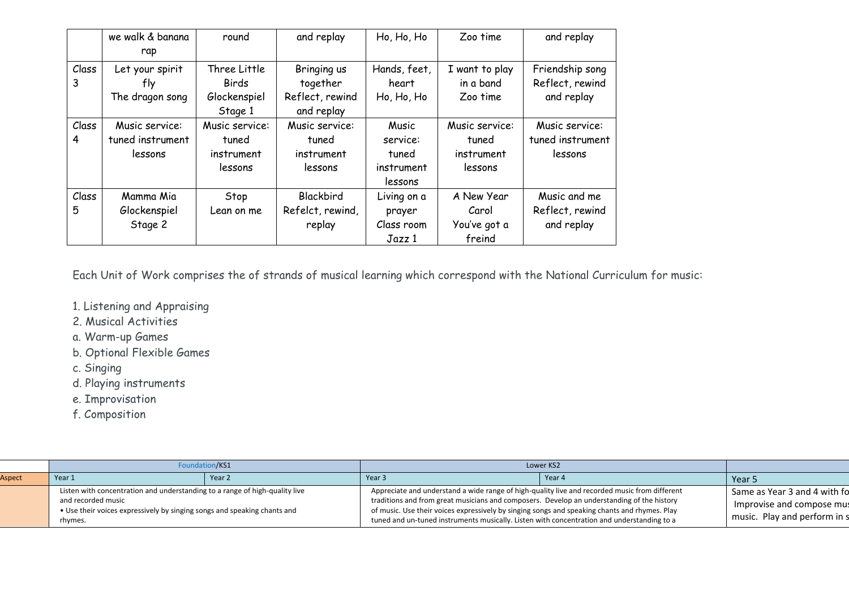|            | we walk & banana<br>rap                       | round                                                   | and replay                                               | Ho, Ho, Ho                                          | Zoo time                                         | and replay                                       |
|------------|-----------------------------------------------|---------------------------------------------------------|----------------------------------------------------------|-----------------------------------------------------|--------------------------------------------------|--------------------------------------------------|
| Class<br>3 | Let your spirit<br>tly<br>The dragon song     | Three Little<br><b>Birds</b><br>Glockenspiel<br>Stage 1 | Bringing us<br>together<br>Reflect, rewind<br>and replay | Hands, feet,<br>heart<br>Ho, Ho, Ho                 | I want to play<br>in a band<br>Zoo time          | Friendship song<br>Reflect, rewind<br>and replay |
| Class<br>4 | Music service:<br>tuned instrument<br>lessons | Music service:<br>tuned<br>instrument<br>lessons        | Music service:<br>tuned<br>instrument<br>lessons         | Music<br>service:<br>tuned<br>instrument<br>lessons | Music service:<br>tuned<br>instrument<br>lessons | Music service:<br>tuned instrument<br>lessons    |
| Class<br>5 | Mamma Mia<br>Glockenspiel<br>Stage 2          | Stop<br>Lean on me                                      | Blackbird<br>Refelct, rewind,<br>replay                  | Living on a<br>prayer<br>Class room<br>Jazz 1       | A New Year<br>Carol<br>You've got a<br>freind    | Music and me<br>Reflect, rewind<br>and replay    |

Each Unit of Work comprises the of strands of musical learning which correspond with the National Curriculum for music:

- 1. Listening and Appraising
- 2. Musical Activities
- a. Warm-up Games
- b. Optional Flexible Games
- c. Singing
- d. Playing instruments
- e. Improvisation
- f. Composition

|        | Foundation/KS1                                                                                                                                                                           |        | Lower KS2                                                                                                                                                                                                                                                                                                                                                                                  |        |                                                                                           |
|--------|------------------------------------------------------------------------------------------------------------------------------------------------------------------------------------------|--------|--------------------------------------------------------------------------------------------------------------------------------------------------------------------------------------------------------------------------------------------------------------------------------------------------------------------------------------------------------------------------------------------|--------|-------------------------------------------------------------------------------------------|
| Aspect | Year 1                                                                                                                                                                                   | Year 2 | l Year 3                                                                                                                                                                                                                                                                                                                                                                                   | Year 4 | Year 5                                                                                    |
|        | Listen with concentration and understanding to a range of high-quality live<br>and recorded music<br>• Use their voices expressively by singing songs and speaking chants and<br>rhymes. |        | Appreciate and understand a wide range of high-quality live and recorded music from different<br>traditions and from great musicians and composers. Develop an understanding of the history<br>of music. Use their voices expressively by singing songs and speaking chants and rhymes. Play<br>tuned and un-tuned instruments musically. Listen with concentration and understanding to a |        | Same as Year 3 and 4 with fo<br>Improvise and compose mus<br>music. Play and perform in s |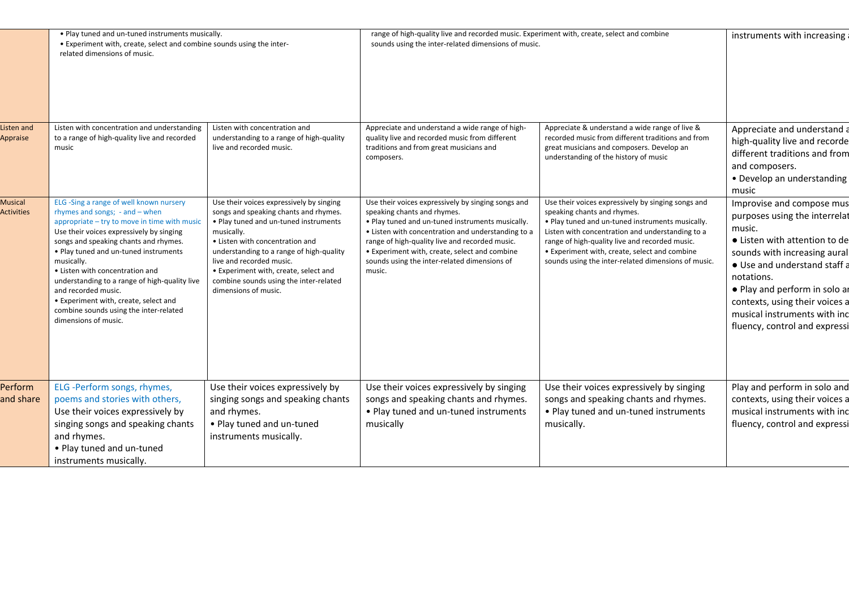|                                     | . Play tuned and un-tuned instruments musically.<br>• Experiment with, create, select and combine sounds using the inter-<br>related dimensions of music.                                                                                                                                                                                                                                                                                                                                       |                                                                                                                                                                                                                                                                                                                                                                | range of high-quality live and recorded music. Experiment with, create, select and combine<br>sounds using the inter-related dimensions of music.                                                                                                                                                                                                        |                                                                                                                                                                                                                                                                                                                                                     | instruments with increasing                                                                                                                                                                                                                                                                                             |
|-------------------------------------|-------------------------------------------------------------------------------------------------------------------------------------------------------------------------------------------------------------------------------------------------------------------------------------------------------------------------------------------------------------------------------------------------------------------------------------------------------------------------------------------------|----------------------------------------------------------------------------------------------------------------------------------------------------------------------------------------------------------------------------------------------------------------------------------------------------------------------------------------------------------------|----------------------------------------------------------------------------------------------------------------------------------------------------------------------------------------------------------------------------------------------------------------------------------------------------------------------------------------------------------|-----------------------------------------------------------------------------------------------------------------------------------------------------------------------------------------------------------------------------------------------------------------------------------------------------------------------------------------------------|-------------------------------------------------------------------------------------------------------------------------------------------------------------------------------------------------------------------------------------------------------------------------------------------------------------------------|
| Listen and<br>Appraise              | Listen with concentration and understanding<br>to a range of high-quality live and recorded<br>music                                                                                                                                                                                                                                                                                                                                                                                            | Listen with concentration and<br>understanding to a range of high-quality<br>live and recorded music.                                                                                                                                                                                                                                                          | Appreciate and understand a wide range of high-<br>quality live and recorded music from different<br>traditions and from great musicians and<br>composers.                                                                                                                                                                                               | Appreciate & understand a wide range of live &<br>recorded music from different traditions and from<br>great musicians and composers. Develop an<br>understanding of the history of music                                                                                                                                                           | Appreciate and understand a<br>high-quality live and recorde<br>different traditions and from<br>and composers.<br>• Develop an understanding<br>music                                                                                                                                                                  |
| <b>Musical</b><br><b>Activities</b> | ELG -Sing a range of well known nursery<br>rhymes and songs; $-$ and $-$ when<br>appropriate - try to move in time with music<br>Use their voices expressively by singing<br>songs and speaking chants and rhymes.<br>. Play tuned and un-tuned instruments<br>musically.<br>• Listen with concentration and<br>understanding to a range of high-quality live<br>and recorded music.<br>• Experiment with, create, select and<br>combine sounds using the inter-related<br>dimensions of music. | Use their voices expressively by singing<br>songs and speaking chants and rhymes.<br>. Play tuned and un-tuned instruments<br>musically.<br>• Listen with concentration and<br>understanding to a range of high-quality<br>live and recorded music.<br>• Experiment with, create, select and<br>combine sounds using the inter-related<br>dimensions of music. | Use their voices expressively by singing songs and<br>speaking chants and rhymes.<br>. Play tuned and un-tuned instruments musically.<br>• Listen with concentration and understanding to a<br>range of high-quality live and recorded music.<br>• Experiment with, create, select and combine<br>sounds using the inter-related dimensions of<br>music. | Use their voices expressively by singing songs and<br>speaking chants and rhymes.<br>. Play tuned and un-tuned instruments musically.<br>Listen with concentration and understanding to a<br>range of high-quality live and recorded music.<br>• Experiment with, create, select and combine<br>sounds using the inter-related dimensions of music. | Improvise and compose mus<br>purposes using the interrelat<br>music.<br>• Listen with attention to de<br>sounds with increasing aural<br>• Use and understand staff a<br>notations.<br>• Play and perform in solo ar<br>contexts, using their voices a<br>musical instruments with inc<br>fluency, control and expressi |
| Perform<br>and share                | ELG -Perform songs, rhymes,<br>poems and stories with others,<br>Use their voices expressively by<br>singing songs and speaking chants<br>and rhymes.<br>• Play tuned and un-tuned<br>instruments musically.                                                                                                                                                                                                                                                                                    | Use their voices expressively by<br>singing songs and speaking chants<br>and rhymes.<br>• Play tuned and un-tuned<br>instruments musically.                                                                                                                                                                                                                    | Use their voices expressively by singing<br>songs and speaking chants and rhymes.<br>• Play tuned and un-tuned instruments<br>musically                                                                                                                                                                                                                  | Use their voices expressively by singing<br>songs and speaking chants and rhymes.<br>. Play tuned and un-tuned instruments<br>musically.                                                                                                                                                                                                            | Play and perform in solo and<br>contexts, using their voices a<br>musical instruments with inc<br>fluency, control and expressi                                                                                                                                                                                         |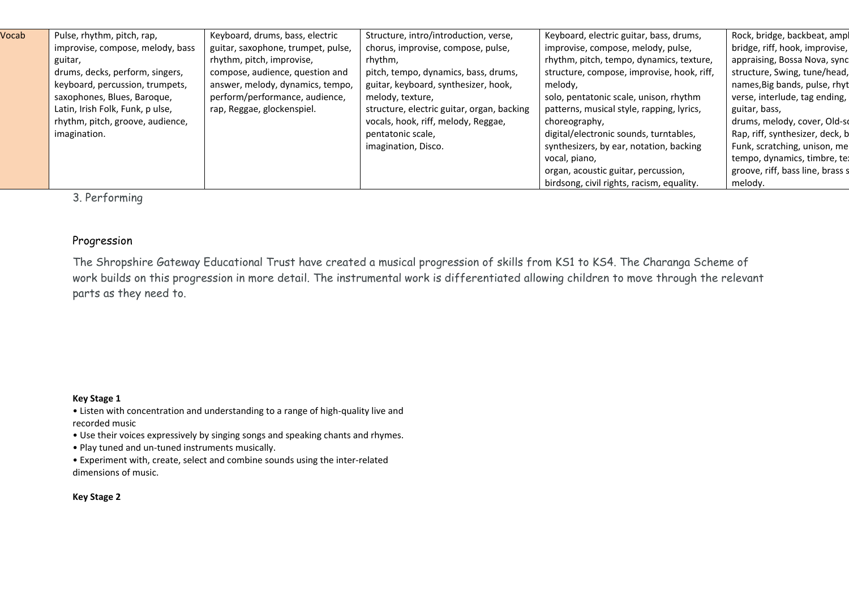| Pulse, rhythm, pitch, rap,       | Keyboard, drums, bass, electric    | Structure, intro/introduction, verse,      | Keyboard, electric guitar, bass, drums,    | Rock, bridge, backbeat, ampl     |
|----------------------------------|------------------------------------|--------------------------------------------|--------------------------------------------|----------------------------------|
| improvise, compose, melody, bass | guitar, saxophone, trumpet, pulse, | chorus, improvise, compose, pulse,         | improvise, compose, melody, pulse,         | bridge, riff, hook, improvise,   |
| guitar,                          | rhythm, pitch, improvise,          | rhythm,                                    | rhythm, pitch, tempo, dynamics, texture,   | appraising, Bossa Nova, sync     |
| drums, decks, perform, singers,  | compose, audience, question and    | pitch, tempo, dynamics, bass, drums,       | structure, compose, improvise, hook, riff, | structure, Swing, tune/head,     |
| keyboard, percussion, trumpets,  | answer, melody, dynamics, tempo,   | guitar, keyboard, synthesizer, hook,       | melody,                                    | names, Big bands, pulse, rhyt    |
| saxophones, Blues, Baroque,      | perform/performance, audience,     | melody, texture,                           | solo, pentatonic scale, unison, rhythm     | verse, interlude, tag ending,    |
| Latin, Irish Folk, Funk, p ulse, | rap, Reggae, glockenspiel.         | structure, electric guitar, organ, backing | patterns, musical style, rapping, lyrics,  | guitar, bass,                    |
| rhythm, pitch, groove, audience, |                                    | vocals, hook, riff, melody, Reggae,        | choreography,                              | drums, melody, cover, Old-sc     |
| imagination.                     |                                    | pentatonic scale,                          | digital/electronic sounds, turntables,     | Rap, riff, synthesizer, deck, b  |
|                                  |                                    | imagination, Disco.                        | synthesizers, by ear, notation, backing    | Funk, scratching, unison, me     |
|                                  |                                    |                                            | vocal, piano,                              | tempo, dynamics, timbre, te:     |
|                                  |                                    |                                            | organ, acoustic guitar, percussion,        | groove, riff, bass line, brass s |
|                                  |                                    |                                            | birdsong, civil rights, racism, equality.  | melody.                          |
|                                  |                                    |                                            |                                            |                                  |

3. Performing

#### Progression

The Shropshire Gateway Educational Trust have created a musical progression of skills from KS1 to KS4. The Charanga Scheme of work builds on this progression in more detail. The instrumental work is differentiated allowing children to move through the relevant parts as they need to.

#### **Key Stage 1**

• Listen with concentration and understanding to a range of high-quality live and recorded music

• Use their voices expressively by singing songs and speaking chants and rhymes.

• Play tuned and un-tuned instruments musically.

• Experiment with, create, select and combine sounds using the inter-related dimensions of music.

#### **Key Stage 2**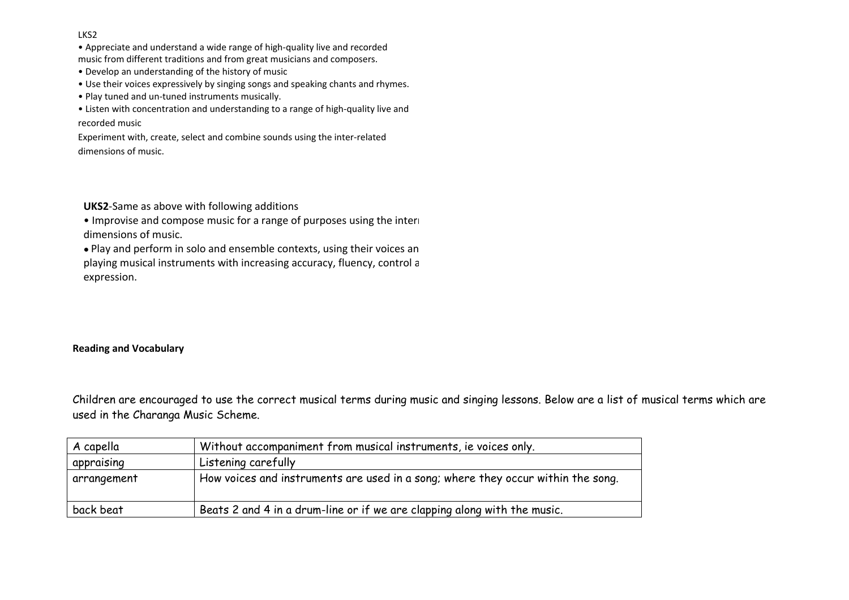#### LKS2

• Appreciate and understand a wide range of high-quality live and recorded music from different traditions and from great musicians and composers.

- Develop an understanding of the history of music
- Use their voices expressively by singing songs and speaking chants and rhymes.
- Play tuned and un-tuned instruments musically.

• Listen with concentration and understanding to a range of high-quality live and recorded music

Experiment with, create, select and combine sounds using the inter-related dimensions of music.

**UKS2**-Same as above with following additions

• Improvise and compose music for a range of purposes using the interl dimensions of music.

• Play and perform in solo and ensemble contexts, using their voices an playing musical instruments with increasing accuracy, fluency, control a expression.

#### **Reading and Vocabulary**

Children are encouraged to use the correct musical terms during music and singing lessons. Below are a list of musical terms which are used in the Charanga Music Scheme.

| A capella   | Without accompaniment from musical instruments, ie voices only.                  |
|-------------|----------------------------------------------------------------------------------|
| appraising  | Listening carefully                                                              |
| arrangement | How voices and instruments are used in a song; where they occur within the song. |
| back beat   | Beats 2 and 4 in a drum-line or if we are clapping along with the music.         |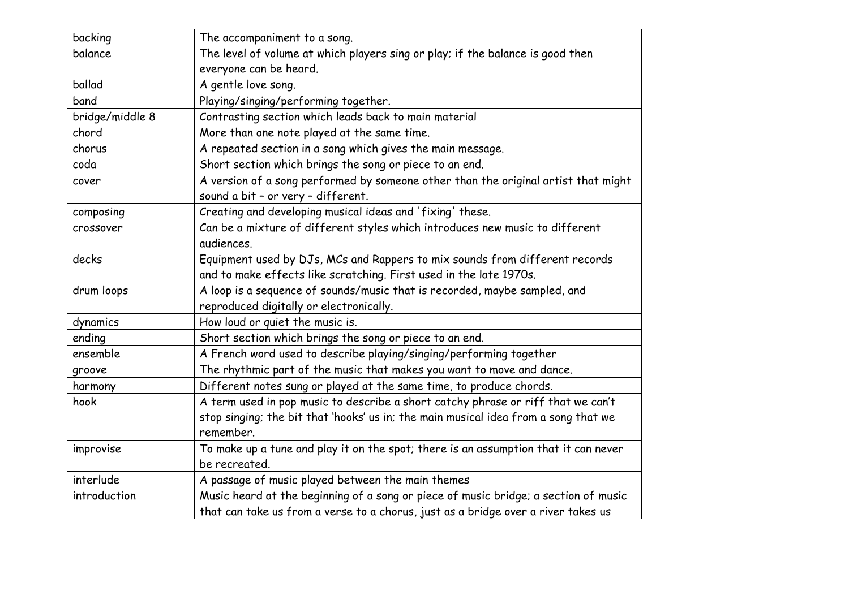| backing         | The accompaniment to a song.                                                        |
|-----------------|-------------------------------------------------------------------------------------|
| balance         | The level of volume at which players sing or play; if the balance is good then      |
|                 | everyone can be heard.                                                              |
| ballad          | A gentle love song.                                                                 |
| band            | Playing/singing/performing together.                                                |
| bridge/middle 8 | Contrasting section which leads back to main material                               |
| chord           | More than one note played at the same time.                                         |
| chorus          | A repeated section in a song which gives the main message.                          |
| coda            | Short section which brings the song or piece to an end.                             |
| cover           | A version of a song performed by someone other than the original artist that might  |
|                 | sound a bit - or very - different.                                                  |
| composing       | Creating and developing musical ideas and 'fixing' these.                           |
| crossover       | Can be a mixture of different styles which introduces new music to different        |
|                 | audiences.                                                                          |
| decks           | Equipment used by DJs, MCs and Rappers to mix sounds from different records         |
|                 | and to make effects like scratching. First used in the late 1970s.                  |
| drum loops      | A loop is a sequence of sounds/music that is recorded, maybe sampled, and           |
|                 | reproduced digitally or electronically.                                             |
| dynamics        | How loud or quiet the music is.                                                     |
| ending          | Short section which brings the song or piece to an end.                             |
| ensemble        | A French word used to describe playing/singing/performing together                  |
| groove          | The rhythmic part of the music that makes you want to move and dance.               |
| harmony         | Different notes sung or played at the same time, to produce chords.                 |
| hook            | A term used in pop music to describe a short catchy phrase or riff that we can't    |
|                 | stop singing; the bit that 'hooks' us in; the main musical idea from a song that we |
|                 | remember.                                                                           |
| improvise       | To make up a tune and play it on the spot; there is an assumption that it can never |
|                 | be recreated.                                                                       |
| interlude       | A passage of music played between the main themes                                   |
| introduction    | Music heard at the beginning of a song or piece of music bridge; a section of music |
|                 | that can take us from a verse to a chorus, just as a bridge over a river takes us   |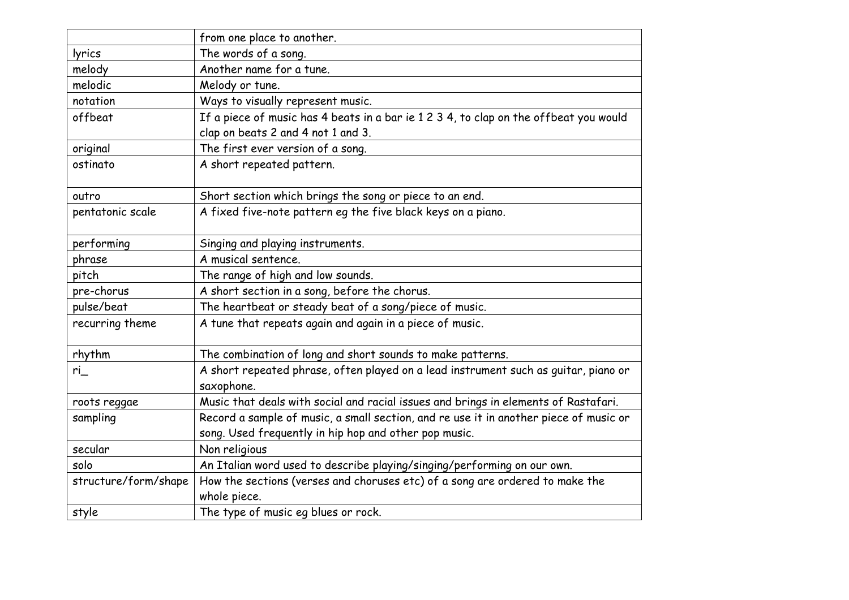|                      | from one place to another.                                                            |
|----------------------|---------------------------------------------------------------------------------------|
| lyrics               | The words of a song.                                                                  |
| melody               | Another name for a tune.                                                              |
| melodic              | Melody or tune.                                                                       |
| notation             | Ways to visually represent music.                                                     |
| offbeat              | If a piece of music has 4 beats in a bar ie 1 2 3 4, to clap on the offbeat you would |
|                      | clap on beats 2 and 4 not 1 and 3.                                                    |
| original             | The first ever version of a song.                                                     |
| ostinato             | A short repeated pattern.                                                             |
|                      |                                                                                       |
| outro                | Short section which brings the song or piece to an end.                               |
| pentatonic scale     | A fixed five-note pattern eg the five black keys on a piano.                          |
|                      |                                                                                       |
| performing           | Singing and playing instruments.                                                      |
| phrase               | A musical sentence.                                                                   |
| pitch                | The range of high and low sounds.                                                     |
| pre-chorus           | A short section in a song, before the chorus.                                         |
| pulse/beat           | The heartbeat or steady beat of a song/piece of music.                                |
| recurring theme      | A tune that repeats again and again in a piece of music.                              |
|                      |                                                                                       |
| rhythm               | The combination of long and short sounds to make patterns.                            |
| ri                   | A short repeated phrase, often played on a lead instrument such as guitar, piano or   |
|                      | saxophone.                                                                            |
| roots reggae         | Music that deals with social and racial issues and brings in elements of Rastafari.   |
| sampling             | Record a sample of music, a small section, and re use it in another piece of music or |
|                      | song. Used frequently in hip hop and other pop music.                                 |
| secular              | Non religious                                                                         |
| solo                 | An Italian word used to describe playing/singing/performing on our own.               |
| structure/form/shape | How the sections (verses and choruses etc) of a song are ordered to make the          |
|                      | whole piece.                                                                          |
| style                | The type of music eg blues or rock.                                                   |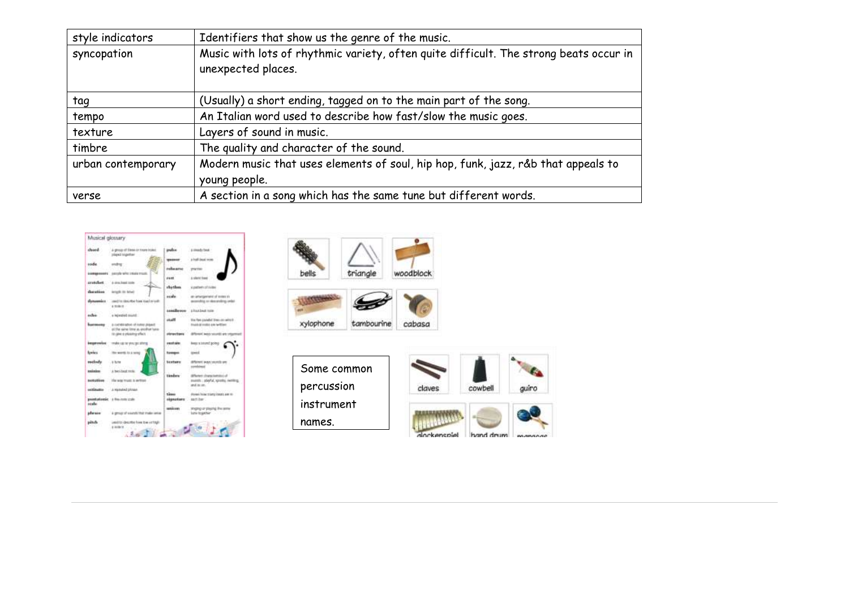| style indicators   | Identifiers that show us the genre of the music.                                                            |
|--------------------|-------------------------------------------------------------------------------------------------------------|
| syncopation        | Music with lots of rhythmic variety, often quite difficult. The strong beats occur in<br>unexpected places. |
| tag                | (Usually) a short ending, tagged on to the main part of the song.                                           |
| tempo              | An Italian word used to describe how fast/slow the music goes.                                              |
| texture            | Layers of sound in music.                                                                                   |
| timbre             | The quality and character of the sound.                                                                     |
| urban contemporary | Modern music that uses elements of soul, hip hop, funk, jazz, r&b that appeals to<br>young people.          |
| verse              | A section in a song which has the same tune but different words.                                            |





Some common percussion instrument names.

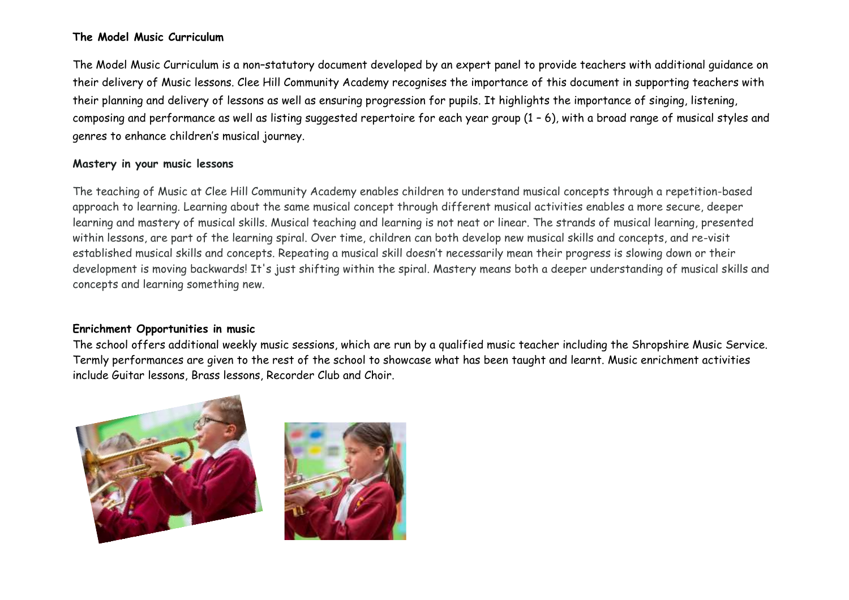#### **The Model Music Curriculum**

The Model Music Curriculum is a non–statutory document developed by an expert panel to provide teachers with additional guidance on their delivery of Music lessons. Clee Hill Community Academy recognises the importance of this document in supporting teachers with their planning and delivery of lessons as well as ensuring progression for pupils. It highlights the importance of singing, listening, composing and performance as well as listing suggested repertoire for each year group (1 – 6), with a broad range of musical styles and genres to enhance children's musical journey.

#### **Mastery in your music lessons**

The teaching of Music at Clee Hill Community Academy enables children to understand musical concepts through a repetition-based approach to learning. Learning about the same musical concept through different musical activities enables a more secure, deeper learning and mastery of musical skills. Musical teaching and learning is not neat or linear. The strands of musical learning, presented within lessons, are part of the learning spiral. Over time, children can both develop new musical skills and concepts, and re-visit established musical skills and concepts. Repeating a musical skill doesn't necessarily mean their progress is slowing down or their development is moving backwards! It's just shifting within the spiral. Mastery means both a deeper understanding of musical skills and concepts and learning something new.

#### **Enrichment Opportunities in music**

The school offers additional weekly music sessions, which are run by a qualified music teacher including the Shropshire Music Service. Termly performances are given to the rest of the school to showcase what has been taught and learnt. Music enrichment activities include Guitar lessons, Brass lessons, Recorder Club and Choir.

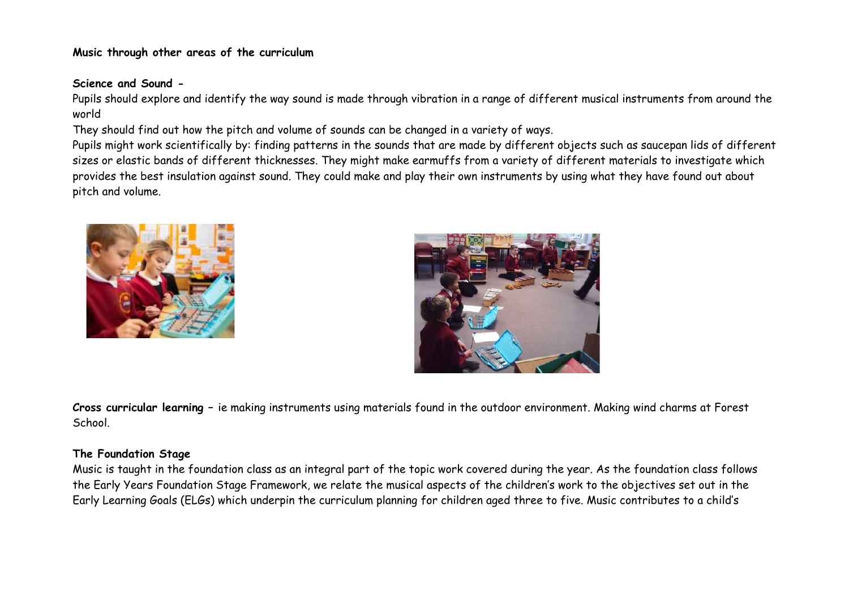#### **Music through other areas of the curriculum**

#### **Science and Sound -**

Pupils should explore and identify the way sound is made through vibration in a range of different musical instruments from around the world

They should find out how the pitch and volume of sounds can be changed in a variety of ways.

Pupils might work scientifically by: finding patterns in the sounds that are made by different objects such as saucepan lids of different sizes or elastic bands of different thicknesses. They might make earmuffs from a variety of different materials to investigate which provides the best insulation against sound. They could make and play their own instruments by using what they have found out about pitch and volume.





**Cross curricular learning –** ie making instruments using materials found in the outdoor environment. Making wind charms at Forest School.

#### **The Foundation Stage**

Music is taught in the foundation class as an integral part of the topic work covered during the year. As the foundation class follows the Early Years Foundation Stage Framework, we relate the musical aspects of the children's work to the objectives set out in the Early Learning Goals (ELGs) which underpin the curriculum planning for children aged three to five. Music contributes to a child's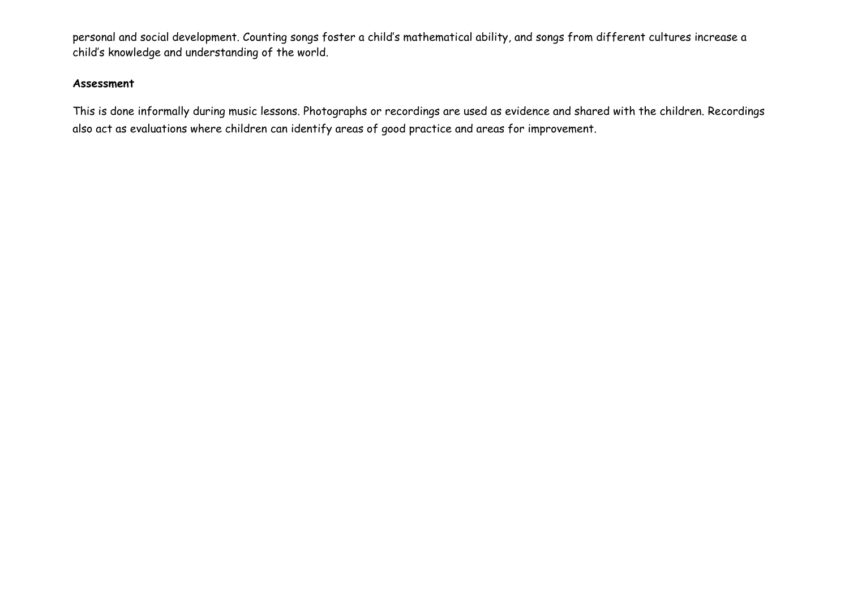personal and social development. Counting songs foster a child's mathematical ability, and songs from different cultures increase a child's knowledge and understanding of the world.

#### **Assessment**

This is done informally during music lessons. Photographs or recordings are used as evidence and shared with the children. Recordings also act as evaluations where children can identify areas of good practice and areas for improvement.